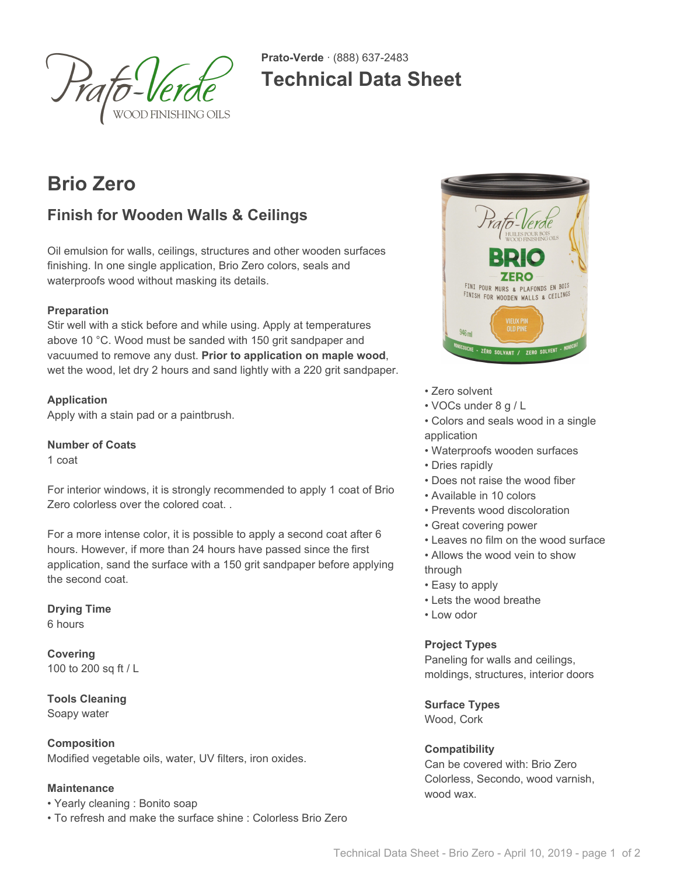

**Prato-Verde** · (888) 637-2483 **Technical Data Sheet**

# **Brio Zero**

# **Finish for Wooden Walls & Ceilings**

Oil emulsion for walls, ceilings, structures and other wooden surfaces finishing. In one single application, Brio Zero colors, seals and waterproofs wood without masking its details.

#### **Preparation**

Stir well with a stick before and while using. Apply at temperatures above 10 °C. Wood must be sanded with 150 grit sandpaper and vacuumed to remove any dust. **Prior to application on maple wood**, wet the wood, let dry 2 hours and sand lightly with a 220 grit sandpaper.

#### **Application**

Apply with a stain pad or a paintbrush.

#### **Number of Coats**

1 coat

For interior windows, it is strongly recommended to apply 1 coat of Brio Zero colorless over the colored coat. .

For a more intense color, it is possible to apply a second coat after 6 hours. However, if more than 24 hours have passed since the first application, sand the surface with a 150 grit sandpaper before applying the second coat.

**Drying Time** 6 hours

**Covering** 100 to 200 sq ft / L

**Tools Cleaning** Soapy water

**Composition** Modified vegetable oils, water, UV filters, iron oxides.

#### **Maintenance**

• Yearly cleaning : Bonito soap

• To refresh and make the surface shine : Colorless Brio Zero



- Zero solvent
- VOCs under 8 g / L
- Colors and seals wood in a single application
- Waterproofs wooden surfaces
- Dries rapidly
- Does not raise the wood fiber
- Available in 10 colors
- Prevents wood discoloration
- Great covering power
- Leaves no film on the wood surface
- Allows the wood vein to show through
- Easy to apply
- Lets the wood breathe
- Low odor

#### **Project Types**

Paneling for walls and ceilings, moldings, structures, interior doors

**Surface Types**

Wood, Cork

#### **Compatibility**

Can be covered with: Brio Zero Colorless, Secondo, wood varnish, wood wax.